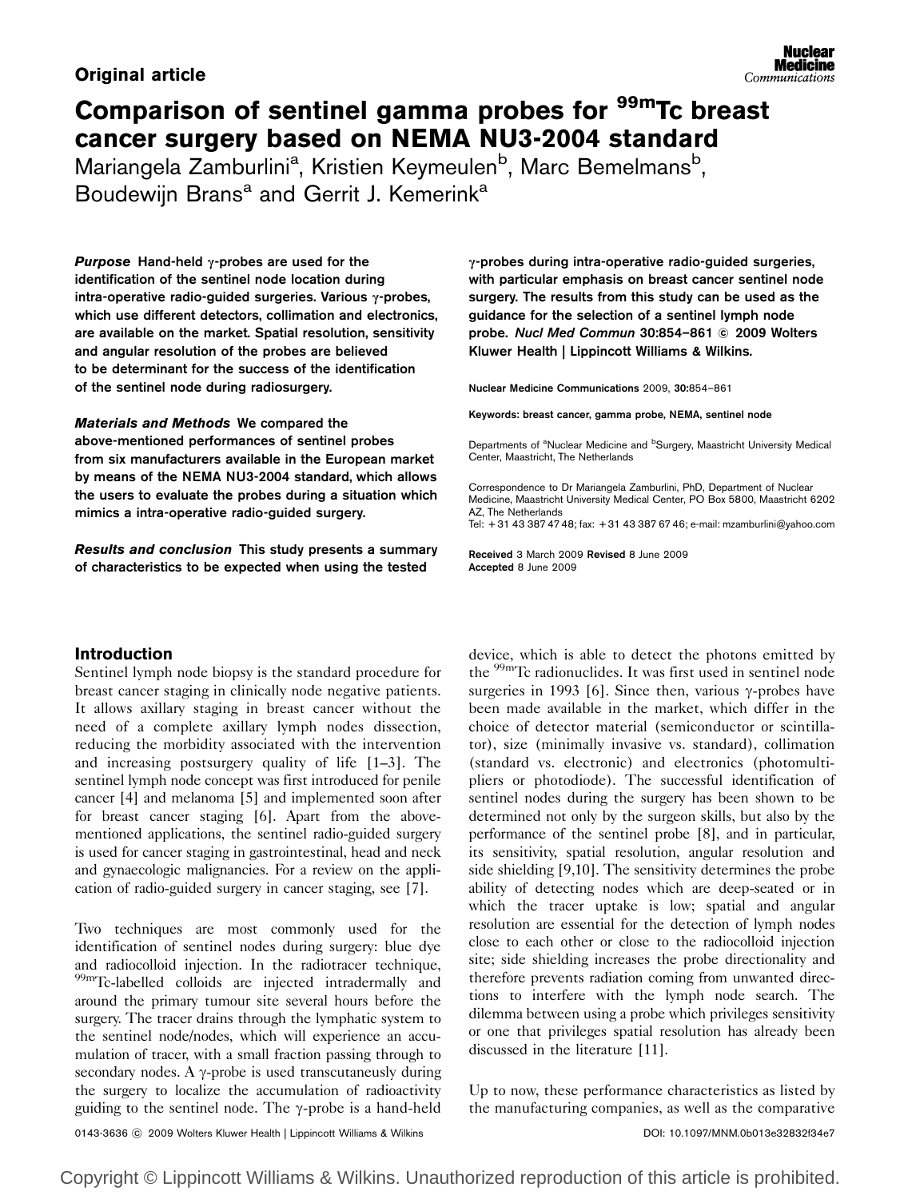# Original article

# Comparison of sentinel gamma probes for <sup>99m</sup>Tc breast cancer surgery based on NEMA NU3-2004 standard

Mariangela Zamburlini<sup>a</sup>, Kristien Keymeulen<sup>b</sup>, Marc Bemelmans<sup>b</sup>, Boudewijn Brans<sup>a</sup> and Gerrit J. Kemerink<sup>a</sup>

**Purpose Hand-held**  $\gamma$ **-probes are used for the** identification of the sentinel node location during intra-operative radio-guided surgeries. Various  $\gamma$ -probes, which use different detectors, collimation and electronics, are available on the market. Spatial resolution, sensitivity and angular resolution of the probes are believed to be determinant for the success of the identification of the sentinel node during radiosurgery.

Materials and Methods We compared the above-mentioned performances of sentinel probes from six manufacturers available in the European market by means of the NEMA NU3-2004 standard, which allows the users to evaluate the probes during a situation which mimics a intra-operative radio-guided surgery.

Results and conclusion This study presents a summary of characteristics to be expected when using the tested

# Introduction

Sentinel lymph node biopsy is the standard procedure for breast cancer staging in clinically node negative patients. It allows axillary staging in breast cancer without the need of a complete axillary lymph nodes dissection, reducing the morbidity associated with the intervention and increasing postsurgery quality of life [1–3]. The sentinel lymph node concept was first introduced for penile cancer [4] and melanoma [5] and implemented soon after for breast cancer staging [6]. Apart from the abovementioned applications, the sentinel radio-guided surgery is used for cancer staging in gastrointestinal, head and neck and gynaecologic malignancies. For a review on the application of radio-guided surgery in cancer staging, see [7].

Two techniques are most commonly used for the identification of sentinel nodes during surgery: blue dye and radiocolloid injection. In the radiotracer technique, 99mTc-labelled colloids are injected intradermally and around the primary tumour site several hours before the surgery. The tracer drains through the lymphatic system to the sentinel node/nodes, which will experience an accumulation of tracer, with a small fraction passing through to secondary nodes. A  $\gamma$ -probe is used transcutaneusly during the surgery to localize the accumulation of radioactivity guiding to the sentinel node. The  $\gamma$ -probe is a hand-held  $\gamma$ -probes during intra-operative radio-guided surgeries, with particular emphasis on breast cancer sentinel node surgery. The results from this study can be used as the guidance for the selection of a sentinel lymph node probe. *Nucl Med Commun* 30:854–861 © 2009 Wolters Kluwer Health | Lippincott Williams & Wilkins.

Nuclear Medicine Communications 2009, 30:854–861

Keywords: breast cancer, gamma probe, NEMA, sentinel node

Departments of <sup>a</sup>Nuclear Medicine and <sup>b</sup>Surgery, Maastricht University Medical Center, Maastricht, The Netherlands

Correspondence to Dr Mariangela Zamburlini, PhD, Department of Nuclear Medicine, Maastricht University Medical Center, PO Box 5800, Maastricht 6202 AZ, The Netherlands

Tel: + 31 43 387 47 48; fax: + 31 43 387 67 46; e-mail: mzamburlini@yahoo.com

Received 3 March 2009 Revised 8 June 2009 Accepted 8 June 2009

device, which is able to detect the photons emitted by the 99mTc radionuclides. It was first used in sentinel node surgeries in 1993 [6]. Since then, various  $\gamma$ -probes have been made available in the market, which differ in the choice of detector material (semiconductor or scintillator), size (minimally invasive vs. standard), collimation (standard vs. electronic) and electronics (photomultipliers or photodiode). The successful identification of sentinel nodes during the surgery has been shown to be determined not only by the surgeon skills, but also by the performance of the sentinel probe [8], and in particular, its sensitivity, spatial resolution, angular resolution and side shielding [9,10]. The sensitivity determines the probe ability of detecting nodes which are deep-seated or in which the tracer uptake is low; spatial and angular resolution are essential for the detection of lymph nodes close to each other or close to the radiocolloid injection site; side shielding increases the probe directionality and therefore prevents radiation coming from unwanted directions to interfere with the lymph node search. The dilemma between using a probe which privileges sensitivity or one that privileges spatial resolution has already been discussed in the literature [11].

Up to now, these performance characteristics as listed by the manufacturing companies, as well as the comparative

0143-3636 ⓒ 2009 Wolters Kluwer Health | Lippincott Williams & Wilkins **DOI: 10.1097/MNM.0b013e32832f34e7** 

Copyright © Lippincott Williams & Wilkins. Unauthorized reproduction of this article is prohibited.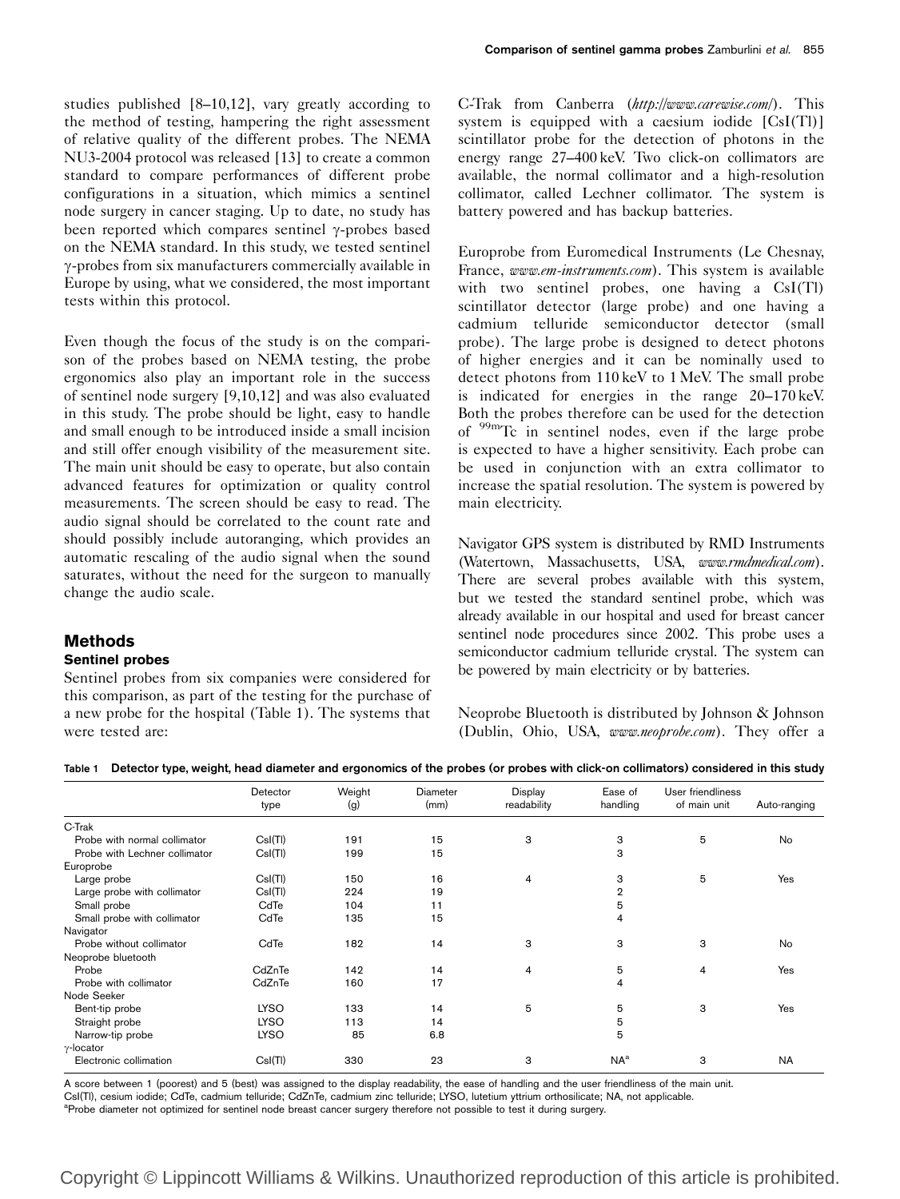studies published [8–10,12], vary greatly according to the method of testing, hampering the right assessment of relative quality of the different probes. The NEMA NU3-2004 protocol was released [13] to create a common standard to compare performances of different probe configurations in a situation, which mimics a sentinel node surgery in cancer staging. Up to date, no study has been reported which compares sentinel  $\gamma$ -probes based on the NEMA standard. In this study, we tested sentinel g-probes from six manufacturers commercially available in Europe by using, what we considered, the most important tests within this protocol.

Even though the focus of the study is on the comparison of the probes based on NEMA testing, the probe ergonomics also play an important role in the success of sentinel node surgery [9,10,12] and was also evaluated in this study. The probe should be light, easy to handle and small enough to be introduced inside a small incision and still offer enough visibility of the measurement site. The main unit should be easy to operate, but also contain advanced features for optimization or quality control measurements. The screen should be easy to read. The audio signal should be correlated to the count rate and should possibly include autoranging, which provides an automatic rescaling of the audio signal when the sound saturates, without the need for the surgeon to manually change the audio scale.

## Methods

#### Sentinel probes

Sentinel probes from six companies were considered for this comparison, as part of the testing for the purchase of a new probe for the hospital (Table 1). The systems that were tested are:

C-Trak from Canberra (http://www.carewise.com/). This system is equipped with a caesium iodide  $[CsI(T)]$ scintillator probe for the detection of photons in the energy range 27–400 keV. Two click-on collimators are available, the normal collimator and a high-resolution collimator, called Lechner collimator. The system is battery powered and has backup batteries.

Europrobe from Euromedical Instruments (Le Chesnay, France, www.em-instruments.com). This system is available with two sentinel probes, one having a CsI(Tl) scintillator detector (large probe) and one having a cadmium telluride semiconductor detector (small probe). The large probe is designed to detect photons of higher energies and it can be nominally used to detect photons from 110 keV to 1 MeV. The small probe is indicated for energies in the range 20–170 keV. Both the probes therefore can be used for the detection of 99mTc in sentinel nodes, even if the large probe is expected to have a higher sensitivity. Each probe can be used in conjunction with an extra collimator to increase the spatial resolution. The system is powered by main electricity.

Navigator GPS system is distributed by RMD Instruments (Watertown, Massachusetts, USA, www.rmdmedical.com). There are several probes available with this system, but we tested the standard sentinel probe, which was already available in our hospital and used for breast cancer sentinel node procedures since 2002. This probe uses a semiconductor cadmium telluride crystal. The system can be powered by main electricity or by batteries.

Neoprobe Bluetooth is distributed by Johnson & Johnson (Dublin, Ohio, USA, www.neoprobe.com). They offer a

Table 1 Detector type, weight, head diameter and ergonomics of the probes (or probes with click-on collimators) considered in this study

|                               | Detector<br>type | Weight<br>(g) | <b>Diameter</b><br>(mm) | Display<br>readability | Ease of<br>handling | User friendliness<br>of main unit | Auto-ranging |
|-------------------------------|------------------|---------------|-------------------------|------------------------|---------------------|-----------------------------------|--------------|
| C-Trak                        |                  |               |                         |                        |                     |                                   |              |
| Probe with normal collimator  | Csl(Tl)          | 191           | 15                      | 3                      | 3                   | 5                                 | No           |
| Probe with Lechner collimator | Csl(Tl)          | 199           | 15                      |                        | 3                   |                                   |              |
| Europrobe                     |                  |               |                         |                        |                     |                                   |              |
| Large probe                   | Csl(Tl)          | 150           | 16                      | 4                      | 3                   | 5                                 | Yes          |
| Large probe with collimator   | Csl(T)           | 224           | 19                      |                        | $\overline{2}$      |                                   |              |
| Small probe                   | CdTe             | 104           | 11                      |                        | 5                   |                                   |              |
| Small probe with collimator   | CdTe             | 135           | 15                      |                        | 4                   |                                   |              |
| Navigator                     |                  |               |                         |                        |                     |                                   |              |
| Probe without collimator      | CdTe             | 182           | 14                      | 3                      | 3                   | 3                                 | <b>No</b>    |
| Neoprobe bluetooth            |                  |               |                         |                        |                     |                                   |              |
| Probe                         | CdZnTe           | 142           | 14                      | 4                      | 5                   | 4                                 | Yes          |
| Probe with collimator         | CdZnTe           | 160           | 17                      |                        | 4                   |                                   |              |
| Node Seeker                   |                  |               |                         |                        |                     |                                   |              |
| Bent-tip probe                | <b>LYSO</b>      | 133           | 14                      | 5                      | 5                   | 3                                 | Yes          |
| Straight probe                | <b>LYSO</b>      | 113           | 14                      |                        | 5                   |                                   |              |
| Narrow-tip probe              | <b>LYSO</b>      | 85            | 6.8                     |                        | 5                   |                                   |              |
| $\gamma$ -locator             |                  |               |                         |                        |                     |                                   |              |
| Electronic collimation        | Csl(T)           | 330           | 23                      | 3                      | NA <sup>a</sup>     | 3                                 | <b>NA</b>    |

A score between 1 (poorest) and 5 (best) was assigned to the display readability, the ease of handling and the user friendliness of the main unit. CsI(Tl), cesium iodide; CdTe, cadmium telluride; CdZnTe, cadmium zinc telluride; LYSO, lutetium yttrium orthosilicate; NA, not applicable. <sup>a</sup>Probe diameter not optimized for sentinel node breast cancer surgery therefore not possible to test it during surgery.

# Copyright © Lippincott Williams & Wilkins. Unauthorized reproduction of this article is prohibited.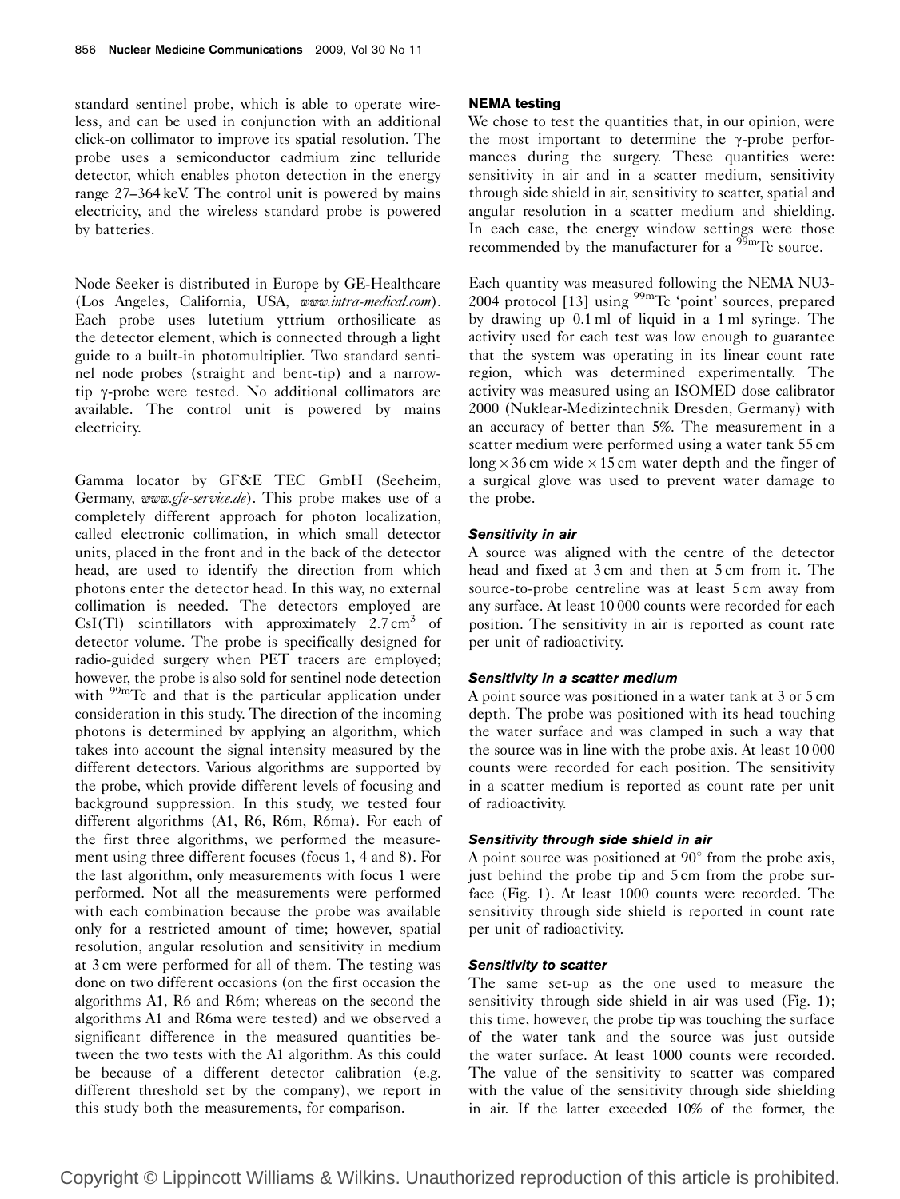standard sentinel probe, which is able to operate wireless, and can be used in conjunction with an additional click-on collimator to improve its spatial resolution. The probe uses a semiconductor cadmium zinc telluride detector, which enables photon detection in the energy range 27–364 keV. The control unit is powered by mains electricity, and the wireless standard probe is powered by batteries.

Node Seeker is distributed in Europe by GE-Healthcare (Los Angeles, California, USA, www.intra-medical.com). Each probe uses lutetium yttrium orthosilicate as the detector element, which is connected through a light guide to a built-in photomultiplier. Two standard sentinel node probes (straight and bent-tip) and a narrowtip  $\gamma$ -probe were tested. No additional collimators are available. The control unit is powered by mains electricity.

Gamma locator by GF&E TEC GmbH (Seeheim, Germany, www.gfe-service.de). This probe makes use of a completely different approach for photon localization, called electronic collimation, in which small detector units, placed in the front and in the back of the detector head, are used to identify the direction from which photons enter the detector head. In this way, no external collimation is needed. The detectors employed are  $CsI(Tl)$  scintillators with approximately 2.7 cm<sup>3</sup> of detector volume. The probe is specifically designed for radio-guided surgery when PET tracers are employed; however, the probe is also sold for sentinel node detection with <sup>99m</sup>Tc and that is the particular application under consideration in this study. The direction of the incoming photons is determined by applying an algorithm, which takes into account the signal intensity measured by the different detectors. Various algorithms are supported by the probe, which provide different levels of focusing and background suppression. In this study, we tested four different algorithms (A1, R6, R6m, R6ma). For each of the first three algorithms, we performed the measurement using three different focuses (focus 1, 4 and 8). For the last algorithm, only measurements with focus 1 were performed. Not all the measurements were performed with each combination because the probe was available only for a restricted amount of time; however, spatial resolution, angular resolution and sensitivity in medium at 3 cm were performed for all of them. The testing was done on two different occasions (on the first occasion the algorithms A1, R6 and R6m; whereas on the second the algorithms A1 and R6ma were tested) and we observed a significant difference in the measured quantities between the two tests with the A1 algorithm. As this could be because of a different detector calibration (e.g. different threshold set by the company), we report in this study both the measurements, for comparison.

#### NEMA testing

We chose to test the quantities that, in our opinion, were the most important to determine the  $\gamma$ -probe performances during the surgery. These quantities were: sensitivity in air and in a scatter medium, sensitivity through side shield in air, sensitivity to scatter, spatial and angular resolution in a scatter medium and shielding. In each case, the energy window settings were those recommended by the manufacturer for a  $\frac{99 \text{m}}{2}$  c source.

Each quantity was measured following the NEMA NU3- 2004 protocol [13] using <sup>99m</sup>Tc 'point' sources, prepared by drawing up 0.1 ml of liquid in a 1 ml syringe. The activity used for each test was low enough to guarantee that the system was operating in its linear count rate region, which was determined experimentally. The activity was measured using an ISOMED dose calibrator 2000 (Nuklear-Medizintechnik Dresden, Germany) with an accuracy of better than 5%. The measurement in a scatter medium were performed using a water tank 55 cm long  $\times$  36 cm wide  $\times$  15 cm water depth and the finger of a surgical glove was used to prevent water damage to the probe.

#### Sensitivity in air

A source was aligned with the centre of the detector head and fixed at 3 cm and then at 5 cm from it. The source-to-probe centreline was at least 5 cm away from any surface. At least 10 000 counts were recorded for each position. The sensitivity in air is reported as count rate per unit of radioactivity.

#### Sensitivity in a scatter medium

A point source was positioned in a water tank at 3 or 5 cm depth. The probe was positioned with its head touching the water surface and was clamped in such a way that the source was in line with the probe axis. At least 10 000 counts were recorded for each position. The sensitivity in a scatter medium is reported as count rate per unit of radioactivity.

## Sensitivity through side shield in air

A point source was positioned at  $90^{\circ}$  from the probe axis, just behind the probe tip and 5 cm from the probe surface (Fig. 1). At least 1000 counts were recorded. The sensitivity through side shield is reported in count rate per unit of radioactivity.

#### Sensitivity to scatter

The same set-up as the one used to measure the sensitivity through side shield in air was used (Fig. 1); this time, however, the probe tip was touching the surface of the water tank and the source was just outside the water surface. At least 1000 counts were recorded. The value of the sensitivity to scatter was compared with the value of the sensitivity through side shielding in air. If the latter exceeded 10% of the former, the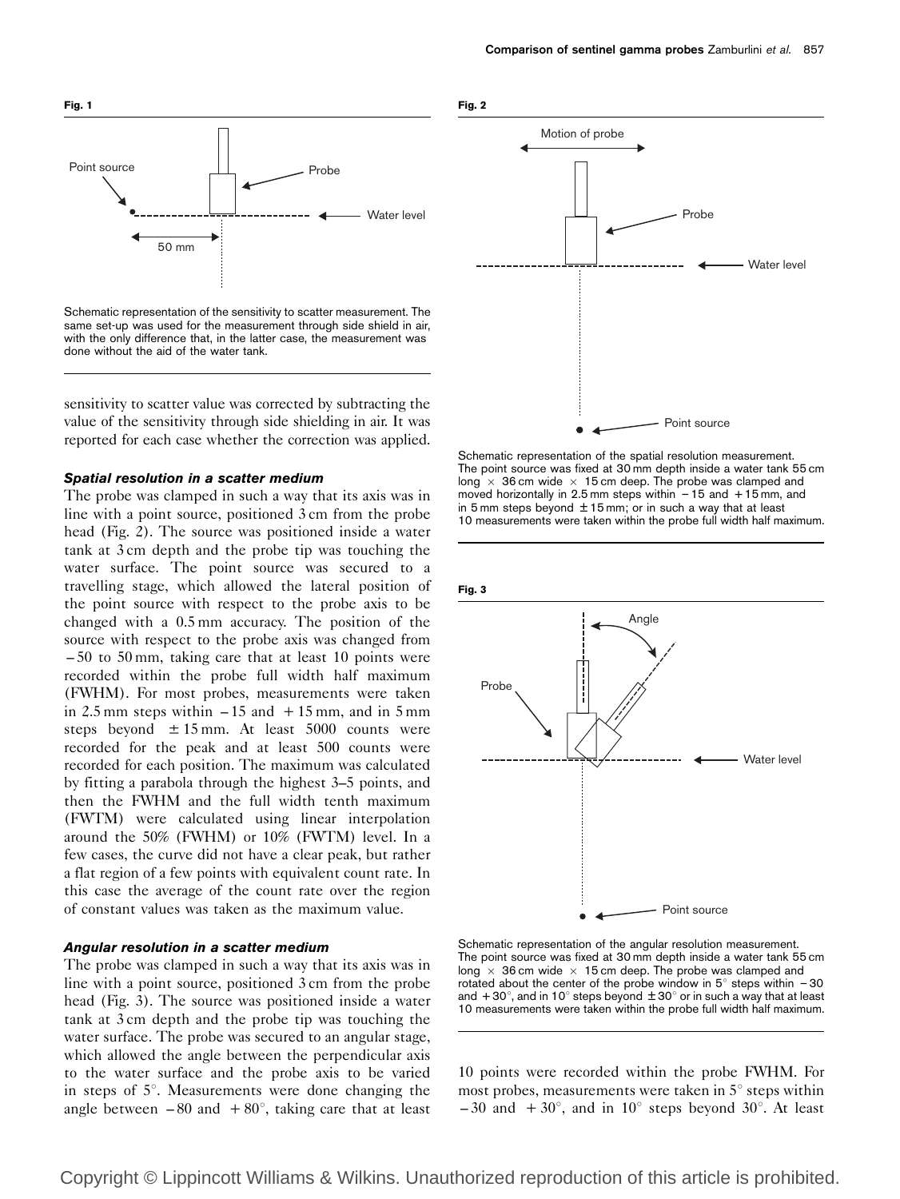

Schematic representation of the sensitivity to scatter measurement. The same set-up was used for the measurement through side shield in air, with the only difference that, in the latter case, the measurement was done without the aid of the water tank.

sensitivity to scatter value was corrected by subtracting the value of the sensitivity through side shielding in air. It was reported for each case whether the correction was applied.

#### Spatial resolution in a scatter medium

The probe was clamped in such a way that its axis was in line with a point source, positioned 3 cm from the probe head (Fig. 2). The source was positioned inside a water tank at 3 cm depth and the probe tip was touching the water surface. The point source was secured to a travelling stage, which allowed the lateral position of the point source with respect to the probe axis to be changed with a 0.5 mm accuracy. The position of the source with respect to the probe axis was changed from – 50 to 50 mm, taking care that at least 10 points were recorded within the probe full width half maximum (FWHM). For most probes, measurements were taken in 2.5 mm steps within  $-15$  and  $+15$  mm, and in 5 mm steps beyond  $\pm 15$  mm. At least 5000 counts were recorded for the peak and at least 500 counts were recorded for each position. The maximum was calculated by fitting a parabola through the highest 3–5 points, and then the FWHM and the full width tenth maximum (FWTM) were calculated using linear interpolation around the 50% (FWHM) or 10% (FWTM) level. In a few cases, the curve did not have a clear peak, but rather a flat region of a few points with equivalent count rate. In this case the average of the count rate over the region of constant values was taken as the maximum value.

# Angular resolution in a scatter medium

The probe was clamped in such a way that its axis was in line with a point source, positioned 3 cm from the probe head (Fig. 3). The source was positioned inside a water tank at 3 cm depth and the probe tip was touching the water surface. The probe was secured to an angular stage, which allowed the angle between the perpendicular axis to the water surface and the probe axis to be varied in steps of  $5^\circ$ . Measurements were done changing the angle between  $-80$  and  $+80^{\circ}$ , taking care that at least



Schematic representation of the spatial resolution measurement. The point source was fixed at 30 mm depth inside a water tank 55 cm long  $\times$  36 cm wide  $\times$  15 cm deep. The probe was clamped and moved horizontally in 2.5 mm steps within  $-15$  and  $+15$  mm, and in 5 mm steps beyond  $\pm$  15 mm; or in such a way that at least 10 measurements were taken within the probe full width half maximum.



Schematic representation of the angular resolution measurement. The point source was fixed at 30 mm depth inside a water tank 55 cm long  $\times$  36 cm wide  $\times$  15 cm deep. The probe was clamped and rotated about the center of the probe window in  $5^\circ$  steps within  $-30$ and  $+30^{\circ}$ , and in 10° steps beyond  $\pm 30^{\circ}$  or in such a way that at least 10 measurements were taken within the probe full width half maximum.

10 points were recorded within the probe FWHM. For most probes, measurements were taken in  $5^\circ$  steps within  $-30$  and  $+30^{\circ}$ , and in 10<sup>°</sup> steps beyond 30<sup>°</sup>. At least

Copyright © Lippincott Williams & Wilkins. Unauthorized reproduction of this article is prohibited.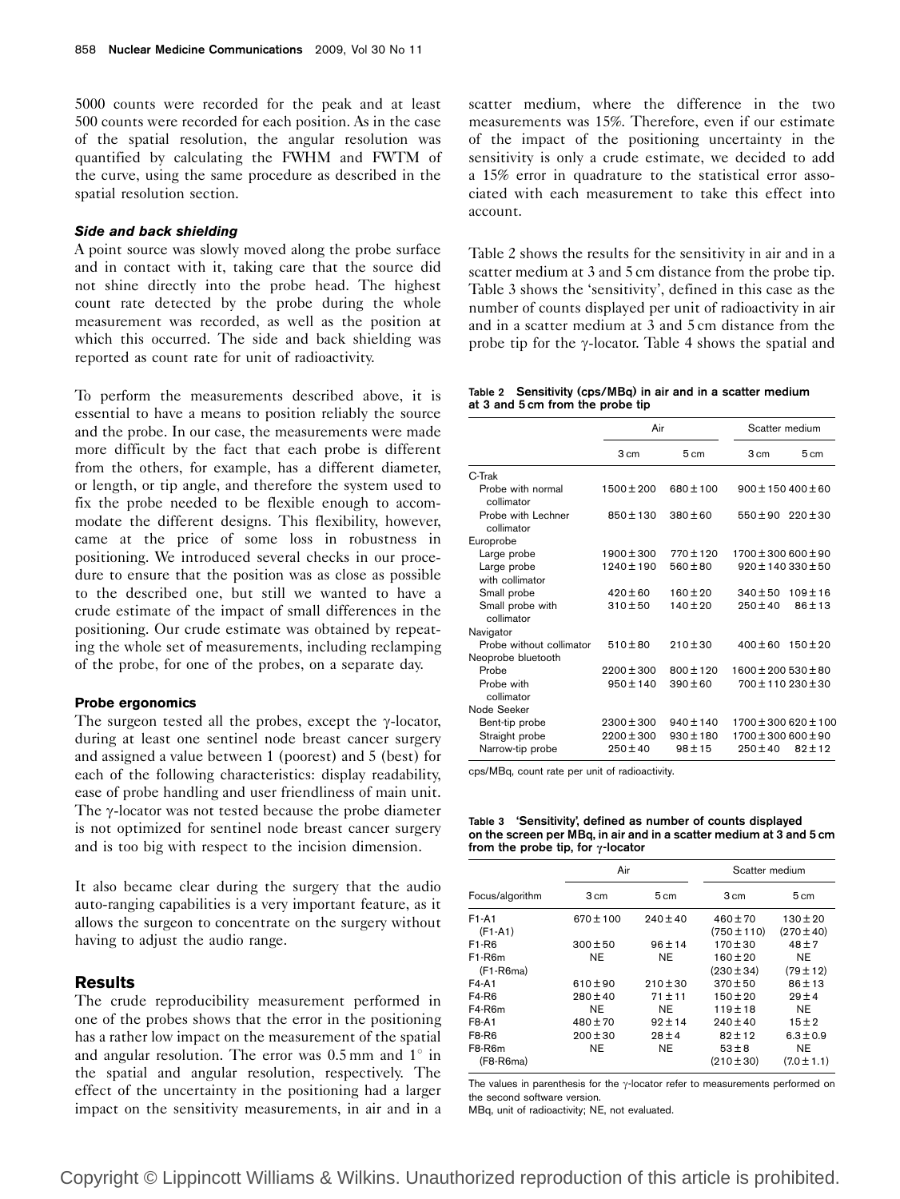5000 counts were recorded for the peak and at least 500 counts were recorded for each position. As in the case of the spatial resolution, the angular resolution was quantified by calculating the FWHM and FWTM of the curve, using the same procedure as described in the spatial resolution section.

#### Side and back shielding

A point source was slowly moved along the probe surface and in contact with it, taking care that the source did not shine directly into the probe head. The highest count rate detected by the probe during the whole measurement was recorded, as well as the position at which this occurred. The side and back shielding was reported as count rate for unit of radioactivity.

To perform the measurements described above, it is essential to have a means to position reliably the source and the probe. In our case, the measurements were made more difficult by the fact that each probe is different from the others, for example, has a different diameter, or length, or tip angle, and therefore the system used to fix the probe needed to be flexible enough to accommodate the different designs. This flexibility, however, came at the price of some loss in robustness in positioning. We introduced several checks in our procedure to ensure that the position was as close as possible to the described one, but still we wanted to have a crude estimate of the impact of small differences in the positioning. Our crude estimate was obtained by repeating the whole set of measurements, including reclamping of the probe, for one of the probes, on a separate day.

#### Probe ergonomics

The surgeon tested all the probes, except the  $\gamma$ -locator, during at least one sentinel node breast cancer surgery and assigned a value between 1 (poorest) and 5 (best) for each of the following characteristics: display readability, ease of probe handling and user friendliness of main unit. The  $\gamma$ -locator was not tested because the probe diameter is not optimized for sentinel node breast cancer surgery and is too big with respect to the incision dimension.

It also became clear during the surgery that the audio auto-ranging capabilities is a very important feature, as it allows the surgeon to concentrate on the surgery without having to adjust the audio range.

# **Results**

The crude reproducibility measurement performed in one of the probes shows that the error in the positioning has a rather low impact on the measurement of the spatial and angular resolution. The error was  $0.5$  mm and  $1^\circ$  in the spatial and angular resolution, respectively. The effect of the uncertainty in the positioning had a larger impact on the sensitivity measurements, in air and in a scatter medium, where the difference in the two measurements was 15%. Therefore, even if our estimate of the impact of the positioning uncertainty in the sensitivity is only a crude estimate, we decided to add a 15% error in quadrature to the statistical error associated with each measurement to take this effect into account.

Table 2 shows the results for the sensitivity in air and in a scatter medium at 3 and 5 cm distance from the probe tip. Table 3 shows the 'sensitivity', defined in this case as the number of counts displayed per unit of radioactivity in air and in a scatter medium at 3 and 5 cm distance from the probe tip for the  $\gamma$ -locator. Table 4 shows the spatial and

Table 2 Sensitivity (cps/MBq) in air and in a scatter medium at 3 and 5 cm from the probe tip

|                                  | Air            |               | Scatter medium           |              |
|----------------------------------|----------------|---------------|--------------------------|--------------|
|                                  | 3 cm           | 5 cm          | 3 cm                     | 5 cm         |
| C-Trak                           |                |               |                          |              |
| Probe with normal<br>collimator  | $1500 \pm 200$ | $680 \pm 100$ | $900 \pm 150400 \pm 60$  |              |
| Probe with Lechner<br>collimator | 850 ± 130      | $380 \pm 60$  | $550 \pm 90$             | $220 \pm 30$ |
| Europrobe                        |                |               |                          |              |
| Large probe                      | $1900 \pm 300$ | $770 \pm 120$ | $1700 \pm 300600 \pm 90$ |              |
| Large probe<br>with collimator   | 1240 ± 190     | $560 \pm 80$  | $920 \pm 140330 \pm 50$  |              |
| Small probe                      | $420 \pm 60$   | $160 \pm 20$  | $340 \pm 50$             | $109 + 16$   |
| Small probe with<br>collimator   | $310 + 50$     | $140 \pm 20$  | $250 \pm 40$             | $86 \pm 13$  |
| Navigator                        |                |               |                          |              |
| Probe without collimator         | $510 + 80$     | $210 + 30$    | $400 \pm 60$             | $150 \pm 20$ |
| Neoprobe bluetooth               |                |               |                          |              |
| Probe                            | $2200 \pm 300$ | $800 \pm 120$ | $1600 \pm 200530 \pm 80$ |              |
| Probe with<br>collimator         | $950 \pm 140$  | $390 \pm 60$  | $700 \pm 110230 \pm 30$  |              |
| Node Seeker                      |                |               |                          |              |
| Bent-tip probe                   | $2300 \pm 300$ | $940 \pm 140$ | 1700 ± 300 620 ± 100     |              |
| Straight probe                   | $2200 \pm 300$ | $930 \pm 180$ | $1700 \pm 300600 \pm 90$ |              |
| Narrow-tip probe                 | $250 \pm 40$   | $98 + 15$     | $250 \pm 40$             | $82 \pm 12$  |

cps/MBq, count rate per unit of radioactivity.

Table 3 'Sensitivity', defined as number of counts displayed on the screen per MBq, in air and in a scatter medium at 3 and 5 cm from the probe tip, for  $\gamma$ -locator

|                       | Air           |                | Scatter medium                  |                                |
|-----------------------|---------------|----------------|---------------------------------|--------------------------------|
| Focus/algorithm       | 3 cm          | $5 \text{ cm}$ | 3 cm                            | 5 cm                           |
| F1-A1<br>$(F1-A1)$    | $670 \pm 100$ | $240 \pm 40$   | $460 \pm 70$<br>$(750 \pm 110)$ | $130 \pm 20$<br>$(270 \pm 40)$ |
| F1-R6                 | $300 \pm 50$  | $96 \pm 14$    | $170 \pm 30$                    | $48 + 7$                       |
| F1-R6m                | NE.           | NE.            | $160 \pm 20$                    | NE.                            |
| $(F1-R6ma)$           |               |                | $(230 \pm 34)$                  | $(79 \pm 12)$                  |
| F4-A1                 | $610 \pm 90$  | $210 \pm 30$   | $370 \pm 50$                    | $86 + 13$                      |
| F4-R6                 | $280 \pm 40$  | $71 + 11$      | $150 \pm 20$                    | $29 \pm 4$                     |
| F4-R6m                | NE.           | NE             | $119 + 18$                      | NE.                            |
| F8-A1                 | $480 \pm 70$  | $92 + 14$      | $240 \pm 40$                    | $15 + 2$                       |
| F8-R6                 | $200 \pm 30$  | $28 \pm 4$     | $82 + 12$                       | $6.3 \pm 0.9$                  |
| F8-R6m<br>$(F8-R6ma)$ | NE.           | NE             | $53 + 8$<br>$(210 \pm 30)$      | NE.<br>$(7.0 \pm 1.1)$         |

The values in parenthesis for the  $\gamma$ -locator refer to measurements performed on the second software version.

MBq, unit of radioactivity; NE, not evaluated.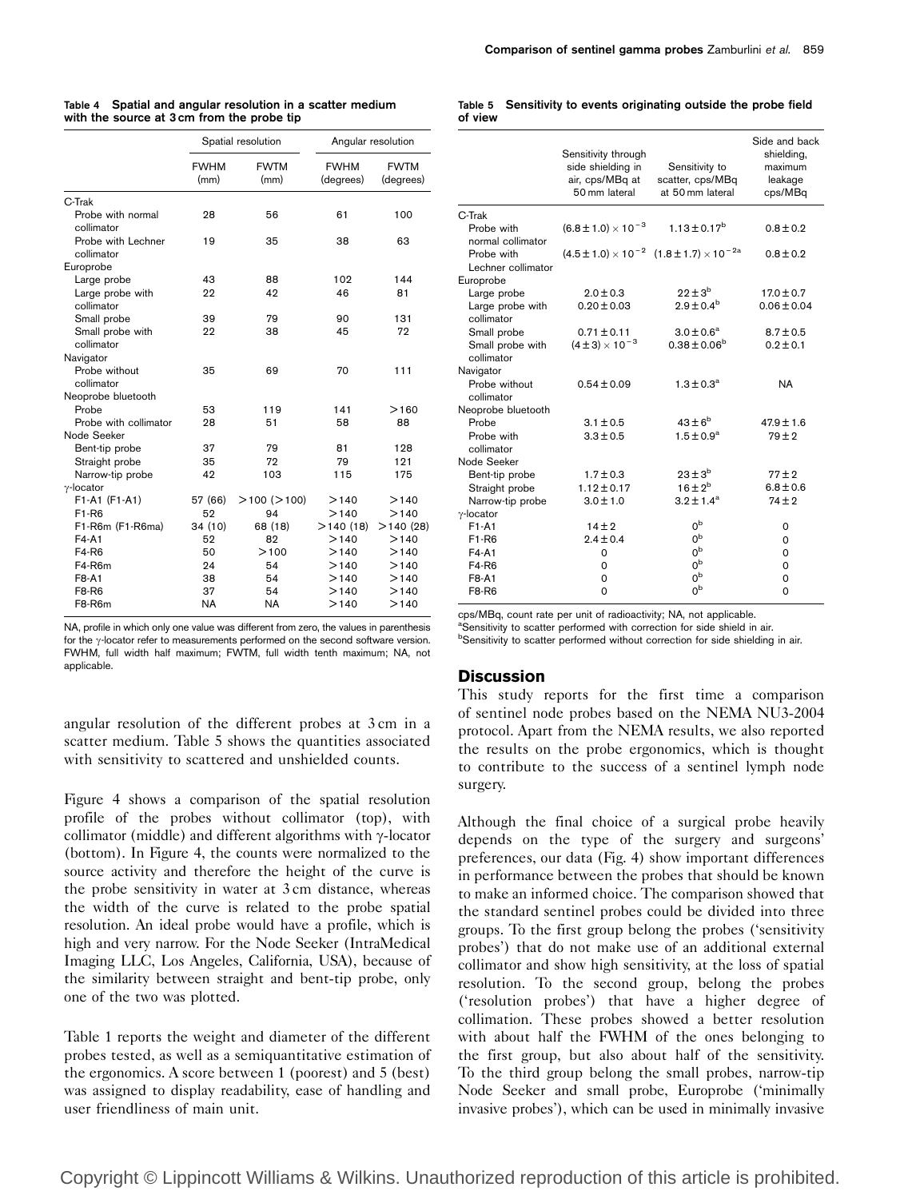| Comparison of sentinel gamma probes Zamburlini et al. 859 |  |
|-----------------------------------------------------------|--|
|-----------------------------------------------------------|--|

|  | Table 4 Spatial and angular resolution in a scatter medium |
|--|------------------------------------------------------------|
|  | with the source at 3 cm from the probe tip                 |

|                                       | Spatial resolution  |                     | Angular resolution       |                          |  |
|---------------------------------------|---------------------|---------------------|--------------------------|--------------------------|--|
|                                       | <b>FWHM</b><br>(mm) | <b>FWTM</b><br>(mm) | <b>FWHM</b><br>(degrees) | <b>FWTM</b><br>(degrees) |  |
| C-Trak                                |                     |                     |                          |                          |  |
| Probe with normal<br>collimator       | 28                  | 56                  | 61                       | 100                      |  |
| Probe with Lechner<br>collimator      | 19                  | 35                  | 38                       | 63                       |  |
| Europrobe                             |                     |                     |                          |                          |  |
| Large probe                           | 43                  | 88                  | 102                      | 144                      |  |
| Large probe with<br>collimator        | 22                  | 42                  | 46                       | 81                       |  |
| Small probe                           | 39                  | 79                  | 90                       | 131                      |  |
| Small probe with<br>collimator        | 22                  | 38                  | 45                       | 72                       |  |
| Navigator                             |                     |                     |                          |                          |  |
| Probe without<br>collimator           | 35                  | 69                  | 70                       | 111                      |  |
| Neoprobe bluetooth                    |                     |                     |                          |                          |  |
| Probe                                 | 53                  | 119                 | 141                      | >160                     |  |
| Probe with collimator                 | 28                  | 51                  | 58                       | 88                       |  |
| Node Seeker                           |                     |                     |                          |                          |  |
| Bent-tip probe                        | 37                  | 79                  | 81                       | 128                      |  |
| Straight probe                        | 35                  | 72                  | 79                       | 121                      |  |
| Narrow-tip probe<br>$\gamma$ -locator | 42                  | 103                 | 115                      | 175                      |  |
| F1-A1 (F1-A1)                         | 57 (66)             | $>$ 100 ( $>$ 100)  | >140                     | >140                     |  |
| F <sub>1</sub> -R <sub>6</sub>        | 52                  | 94                  | >140                     | >140                     |  |
| F1-R6m (F1-R6ma)                      | 34(10)              | 68 (18)             | >140(18)                 | >140(28)                 |  |
| F4-A1                                 | 52                  | 82                  | >140                     | >140                     |  |
| F4-R6                                 | 50                  | >100                | >140                     | >140                     |  |
| F4-R6m                                | 24                  | 54                  | >140                     | >140                     |  |
| F8-A1                                 | 38                  | 54                  | >140                     | >140                     |  |
| F8-R6                                 | 37                  | 54                  | >140                     | >140                     |  |
| F8-R6m                                | NA                  | <b>NA</b>           | >140                     | >140                     |  |

NA, profile in which only one value was different from zero, the values in parenthesis for the  $\gamma$ -locator refer to measurements performed on the second software version. FWHM, full width half maximum; FWTM, full width tenth maximum; NA, not applicable.

angular resolution of the different probes at 3 cm in a scatter medium. Table 5 shows the quantities associated with sensitivity to scattered and unshielded counts.

Figure 4 shows a comparison of the spatial resolution profile of the probes without collimator (top), with collimator (middle) and different algorithms with  $\gamma$ -locator (bottom). In Figure 4, the counts were normalized to the source activity and therefore the height of the curve is the probe sensitivity in water at 3 cm distance, whereas the width of the curve is related to the probe spatial resolution. An ideal probe would have a profile, which is high and very narrow. For the Node Seeker (IntraMedical Imaging LLC, Los Angeles, California, USA), because of the similarity between straight and bent-tip probe, only one of the two was plotted.

Table 1 reports the weight and diameter of the different probes tested, as well as a semiquantitative estimation of the ergonomics. A score between 1 (poorest) and 5 (best) was assigned to display readability, ease of handling and user friendliness of main unit.

#### Table 5 Sensitivity to events originating outside the probe field of view

|                                  | Sensitivity through<br>side shielding in<br>air, cps/MBq at<br>50 mm lateral | Sensitivity to<br>scatter, cps/MBq<br>at 50 mm lateral         | Side and back<br>shielding,<br>maximum<br>leakage<br>cps/MBq |
|----------------------------------|------------------------------------------------------------------------------|----------------------------------------------------------------|--------------------------------------------------------------|
| C-Trak                           |                                                                              |                                                                |                                                              |
| Probe with<br>normal collimator  | $(6.8 \pm 1.0) \times 10^{-3}$                                               | $1.13 \pm 0.17^{\rm b}$                                        | $0.8 \pm 0.2$                                                |
| Probe with<br>Lechner collimator |                                                                              | $(4.5 \pm 1.0) \times 10^{-2}$ $(1.8 \pm 1.7) \times 10^{-2a}$ | $0.8 \pm 0.2$                                                |
| Europrobe                        |                                                                              |                                                                |                                                              |
| Large probe                      | $2.0 \pm 0.3$                                                                | $22 \pm 3^{b}$                                                 | $17.0 \pm 0.7$                                               |
| Large probe with<br>collimator   | $0.20 \pm 0.03$                                                              | $2.9 \pm 0.4^{\rm b}$                                          | $0.06 \pm 0.04$                                              |
| Small probe                      | $0.71 \pm 0.11$                                                              | $3.0 \pm 0.6^a$                                                | $8.7 \pm 0.5$                                                |
| Small probe with<br>collimator   | $(4 \pm 3) \times 10^{-3}$                                                   | $0.38 \pm 0.06^b$                                              | $0.2 \pm 0.1$                                                |
| Navigator                        |                                                                              |                                                                |                                                              |
| Probe without<br>collimator      | $0.54 \pm 0.09$                                                              | $1.3 \pm 0.3^{\rm a}$                                          | <b>NA</b>                                                    |
| Neoprobe bluetooth               |                                                                              |                                                                |                                                              |
| Probe                            | $3.1 \pm 0.5$                                                                | $43\pm6^{\rm b}$                                               | $47.9 \pm 1.6$                                               |
| Probe with<br>collimator         | $3.3 \pm 0.5$                                                                | $1.5 \pm 0.9^a$                                                | $79 + 2$                                                     |
| Node Seeker                      |                                                                              |                                                                |                                                              |
| Bent-tip probe                   | $1.7 \pm 0.3$                                                                | $23 \pm 3^b$                                                   | $77 + 2$                                                     |
| Straight probe                   | $1.12 \pm 0.17$                                                              | $16 \pm 2^{b}$                                                 | $6.8 \pm 0.6$                                                |
| Narrow-tip probe                 | $3.0 \pm 1.0$                                                                | $3.2 \pm 1.4^a$                                                | $74 \pm 2$                                                   |
| $\gamma$ -locator<br>$F1-A1$     |                                                                              | 0 <sub>p</sub>                                                 |                                                              |
| F1-R6                            | $14 \pm 2$<br>$2.4 \pm 0.4$                                                  | 0 <sup>b</sup>                                                 | 0<br>$\Omega$                                                |
| $F4-A1$                          | $\Omega$                                                                     | 0 <sub>p</sub>                                                 | $\Omega$                                                     |
| F4-R6                            | 0                                                                            | 0 <sup>b</sup>                                                 | $\Omega$                                                     |
| <b>F8-A1</b>                     | 0                                                                            | 0 <sub>p</sub>                                                 | $\Omega$                                                     |
| F8-R6                            | 0                                                                            | 0 <sub>p</sub>                                                 | 0                                                            |
|                                  |                                                                              |                                                                |                                                              |

cps/MBq, count rate per unit of radioactivity; NA, not applicable.

<sup>a</sup>Sensitivity to scatter performed with correction for side shield in air.

**BSensitivity to scatter performed without correction for side shielding in air.** 

# **Discussion**

This study reports for the first time a comparison of sentinel node probes based on the NEMA NU3-2004 protocol. Apart from the NEMA results, we also reported the results on the probe ergonomics, which is thought to contribute to the success of a sentinel lymph node surgery.

Although the final choice of a surgical probe heavily depends on the type of the surgery and surgeons' preferences, our data (Fig. 4) show important differences in performance between the probes that should be known to make an informed choice. The comparison showed that the standard sentinel probes could be divided into three groups. To the first group belong the probes ('sensitivity probes') that do not make use of an additional external collimator and show high sensitivity, at the loss of spatial resolution. To the second group, belong the probes ('resolution probes') that have a higher degree of collimation. These probes showed a better resolution with about half the FWHM of the ones belonging to the first group, but also about half of the sensitivity. To the third group belong the small probes, narrow-tip Node Seeker and small probe, Europrobe ('minimally invasive probes'), which can be used in minimally invasive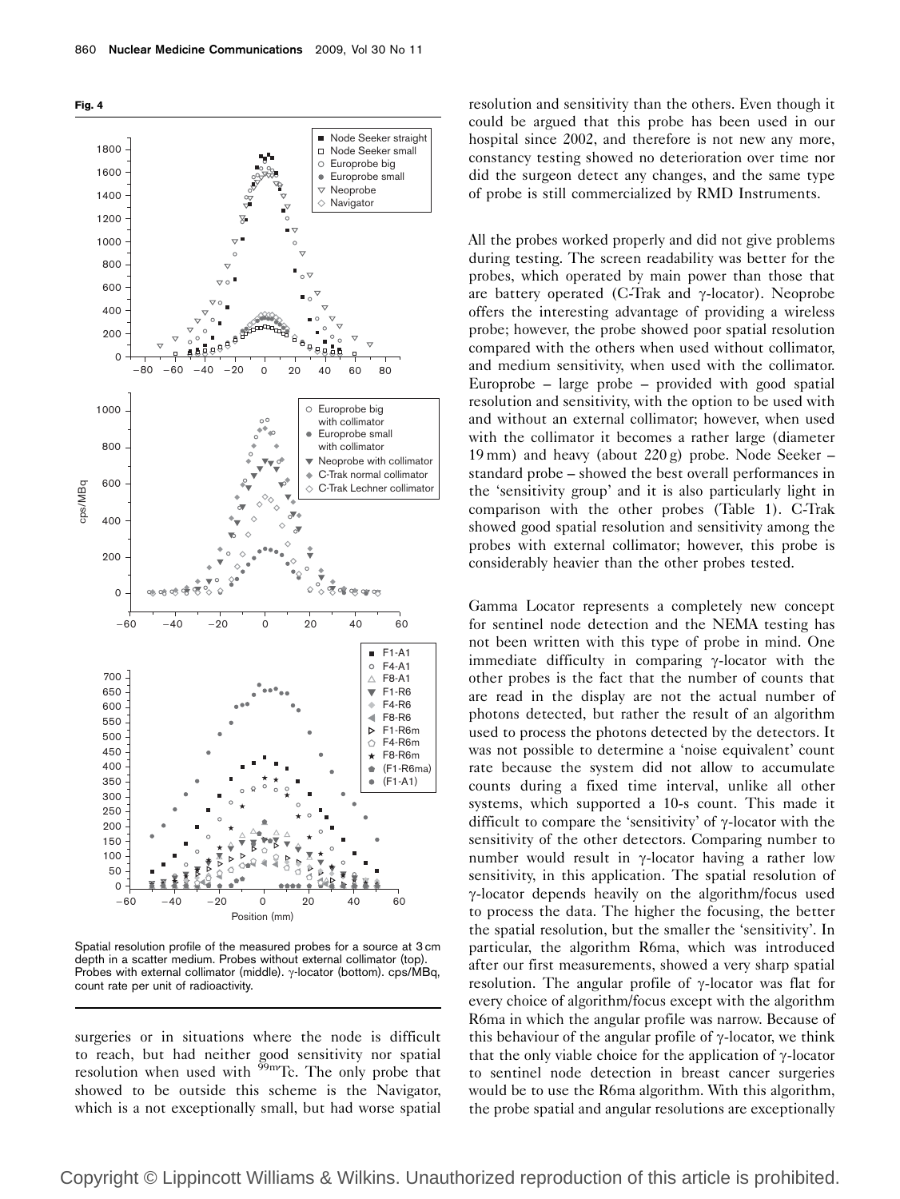



Spatial resolution profile of the measured probes for a source at 3 cm depth in a scatter medium. Probes without external collimator (top). Probes with external collimator (middle).  $\gamma$ -locator (bottom). cps/MBq, count rate per unit of radioactivity.

surgeries or in situations where the node is difficult to reach, but had neither good sensitivity nor spatial resolution when used with  $99m$ Tc. The only probe that showed to be outside this scheme is the Navigator, which is a not exceptionally small, but had worse spatial

resolution and sensitivity than the others. Even though it could be argued that this probe has been used in our hospital since 2002, and therefore is not new any more, constancy testing showed no deterioration over time nor did the surgeon detect any changes, and the same type of probe is still commercialized by RMD Instruments.

All the probes worked properly and did not give problems during testing. The screen readability was better for the probes, which operated by main power than those that are battery operated (C-Trak and  $\gamma$ -locator). Neoprobe offers the interesting advantage of providing a wireless probe; however, the probe showed poor spatial resolution compared with the others when used without collimator, and medium sensitivity, when used with the collimator. Europrobe – large probe – provided with good spatial resolution and sensitivity, with the option to be used with and without an external collimator; however, when used with the collimator it becomes a rather large (diameter 19 mm) and heavy (about 220 g) probe. Node Seeker – standard probe – showed the best overall performances in the 'sensitivity group' and it is also particularly light in comparison with the other probes (Table 1). C-Trak showed good spatial resolution and sensitivity among the probes with external collimator; however, this probe is considerably heavier than the other probes tested.

Gamma Locator represents a completely new concept for sentinel node detection and the NEMA testing has not been written with this type of probe in mind. One immediate difficulty in comparing  $\gamma$ -locator with the other probes is the fact that the number of counts that are read in the display are not the actual number of photons detected, but rather the result of an algorithm used to process the photons detected by the detectors. It was not possible to determine a 'noise equivalent' count rate because the system did not allow to accumulate counts during a fixed time interval, unlike all other systems, which supported a 10-s count. This made it difficult to compare the 'sensitivity' of  $\gamma$ -locator with the sensitivity of the other detectors. Comparing number to number would result in  $\gamma$ -locator having a rather low sensitivity, in this application. The spatial resolution of  $\gamma$ -locator depends heavily on the algorithm/focus used to process the data. The higher the focusing, the better the spatial resolution, but the smaller the 'sensitivity'. In particular, the algorithm R6ma, which was introduced after our first measurements, showed a very sharp spatial resolution. The angular profile of  $\gamma$ -locator was flat for every choice of algorithm/focus except with the algorithm R6ma in which the angular profile was narrow. Because of this behaviour of the angular profile of  $\gamma$ -locator, we think that the only viable choice for the application of  $\gamma$ -locator to sentinel node detection in breast cancer surgeries would be to use the R6ma algorithm. With this algorithm, the probe spatial and angular resolutions are exceptionally